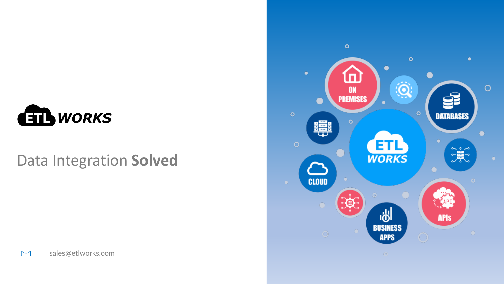

### Data Integration **Solved**





 $\sum$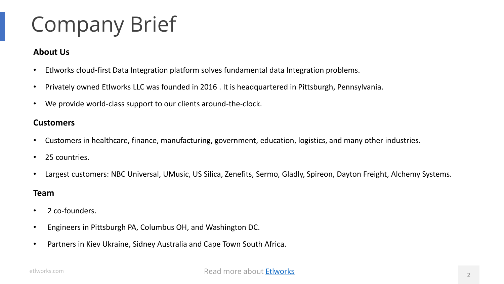## Company Brief

### **About Us**

- **•** Etlworks cloud-first Data Integration platform solves fundamental data Integration problems.
- Privately owned Etlworks LLC was founded in 2016 . It is headquartered in Pittsburgh, Pennsylvania.
- that there is no way they can synchronize it reliably and in real time • We provide world-class support to our clients around-the-clock.

#### **Customers**

- **•** Customers in healthcare, finance, manufacturing, government, education, logistics, and many other industries.
- 25 countries.
- cloud represents major challenge for most organizations • Largest customers: NBC Universal, UMusic, US Silica, Zenefits, Sermo, Gladly, Spireon, Dayton Freight, Alchemy Systems.

#### **Team**

- 2 co-founders.
- Engineers in Pittsburgh PA, Columbus OH, and Washington DC.
- Partners in Kiev Ukraine, Sidney Australia and Cape Town South Africa.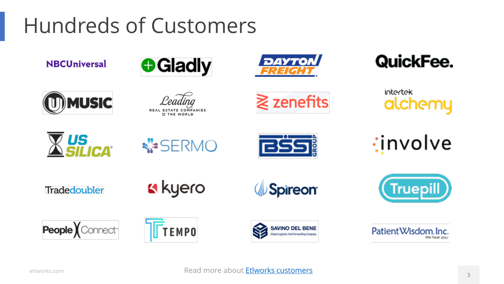## Hundreds of Customers

**NBCUniversal** 





### QuickFee.

intertek alchemy



**MUSIC** 



ESTATE COMPANIES<br>22 THE WORLD



Synchronizing disparate data sources is hard enough.

 $\mathcal{L}$ eading  $\mathcal{L}$  zenefits

*involve* 

Tradedoubler

k kyero





People Connect<sup>-</sup>





Patient Wisdom, Inc.

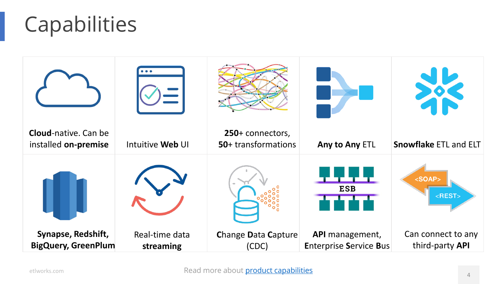# Capabilities

| <b>Cloud-native. Can be</b><br>installed on-premise | Intuitive Web UI            | 250+ connectors,<br>50+ transformations | Any to Any ETL                                   | <b>Snowflake ETL and ELT</b>                             |
|-----------------------------------------------------|-----------------------------|-----------------------------------------|--------------------------------------------------|----------------------------------------------------------|
|                                                     |                             |                                         | <b>ESB</b>                                       | <soap><br/><math>&lt;</math>REST<math>&gt;</math></soap> |
| Synapse, Redshift,<br><b>BigQuery, GreenPlum</b>    | Real-time data<br>streaming | <b>Change Data Capture</b><br>(CDC)     | API management,<br><b>Enterprise Service Bus</b> | Can connect to any<br>third-party API                    |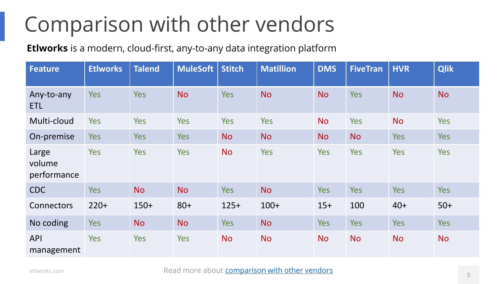## Comparison with other vendors

**Etlworks** is a modern, cloud-first, any-to-any data integration platform

| <b>Feature</b>                 | <b>EtIworks</b> | <b>Talend</b> | <b>MuleSoft</b> | <b>Stitch</b> | <b>Matillion</b> | <b>DMS</b> | <b>FiveTran</b> | <b>HVR</b> | <b>Qlik</b> |
|--------------------------------|-----------------|---------------|-----------------|---------------|------------------|------------|-----------------|------------|-------------|
| Any-to-any<br><b>ETL</b>       | <b>Yes</b>      | <b>Yes</b>    | <b>No</b>       | <b>Yes</b>    | <b>No</b>        | <b>No</b>  | <b>Yes</b>      | <b>No</b>  | <b>No</b>   |
| Multi-cloud                    | Yes             | <b>Yes</b>    | <b>Yes</b>      | <b>Yes</b>    | Yes              | <b>No</b>  | <b>Yes</b>      | <b>No</b>  | Yes         |
| On-premise                     | Yes             | <b>Yes</b>    | <b>Yes</b>      | <b>No</b>     | <b>No</b>        | <b>No</b>  | <b>No</b>       | Yes        | <b>Yes</b>  |
| Large<br>volume<br>performance | Yes             | <b>Yes</b>    | Yes             | <b>No</b>     | Yes              | <b>Yes</b> | <b>Yes</b>      | Yes        | Yes         |
| <b>CDC</b>                     | Yes             | <b>No</b>     | <b>No</b>       | Yes           | <b>No</b>        | <b>Yes</b> | Yes             | Yes        | <b>Yes</b>  |
| Connectors                     | $220+$          | $150+$        | $80+$           | $125+$        | $100+$           | $15+$      | 100             | $40+$      | $50+$       |
| No coding                      | Yes             | <b>No</b>     | <b>No</b>       | Yes           | <b>No</b>        | <b>Yes</b> | <b>Yes</b>      | Yes        | <b>Yes</b>  |
| <b>API</b><br>management       | <b>Yes</b>      | <b>Yes</b>    | <b>Yes</b>      | <b>No</b>     | <b>No</b>        | <b>No</b>  | <b>No</b>       | <b>No</b>  | <b>No</b>   |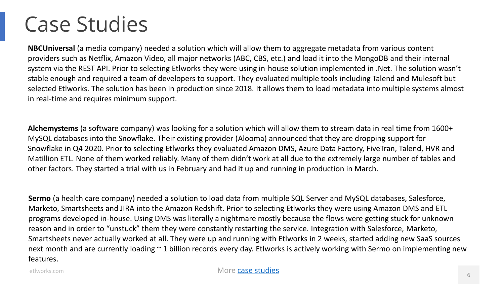### Case Studies

**NBCUniversal** (a media company) needed a solution which will allow them to aggregate metadata from various content providers such as Netflix, Amazon Video, all major networks (ABC, CBS, etc.) and load it into the MongoDB and their internal system via the REST API. Prior to selecting Etlworks they were using in-house solution implemented in .Net. The solution wasn't stable enough and required a team of developers to support. They evaluated multiple tools including Talend and Mulesoft but selected Etlworks. The solution has been in production since 2018. It allows them to load metadata into multiple systems almost in real-time and requires minimum support.

MySQL databases into the Snowflake. Their existing provider (Alooma) announced that they are dropping support for<br>Case of the concentration of the state of the state of the state of the state of the state of the state of t **Alchemystems** (a software company) was looking for a solution which will allow them to stream data in real time from 1600+ Snowflake in Q4 2020. Prior to selecting Etlworks they evaluated Amazon DMS, Azure Data Factory, FiveTran, Talend, HVR and Matillion ETL. None of them worked reliably. Many of them didn't work at all due to the extremely large number of tables and other factors. They started a trial with us in February and had it up and running in production in March.

**Sermo** (a health care company) needed a solution to load data from multiple SQL Server and MySQL databases, Salesforce, Marketo, Smartsheets and JIRA into the Amazon Redshift. Prior to selecting Etlworks they were using Amazon DMS and ETL programs developed in-house. Using DMS was literally a nightmare mostly because the flows were getting stuck for unknown reason and in order to "unstuck" them they were constantly restarting the service. Integration with Salesforce, Marketo, Smartsheets never actually worked at all. They were up and running with Etlworks in 2 weeks, started adding new SaaS sources next month and are currently loading ~ 1 billion records every day. Etlworks is actively working with Sermo on implementing new features.

etlworks.com

#### More [case studies](https://support.etlworks.com/hc/en-us/sections/360003005154-Real-life-Case-Studies)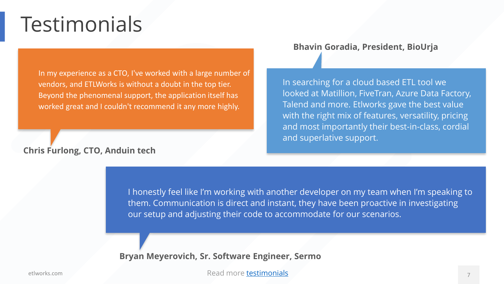### Testimonials

In my experience as a CTO, I've worked with a large number of vendors, and ETLWorks is without a doubt in the top tier. Beyond the phenomenal support, the application itself has worked great and I couldn't recommend it any more highly.

#### **Chris Furlong, CTO, Anduin tech**

#### **Bhavin Goradia, President, BioUrja**

In searching for a cloud based ETL tool we looked at Matillion, FiveTran, Azure Data Factory, Talend and more. Etlworks gave the best value with the right mix of features, versatility, pricing and most importantly their best-in-class, cordial and superlative support.

I honestly feel like I'm working with another developer on my team when I'm I honestly feel like I'm working with another developer on my team when I'm speaking to them. Communication is direct and instant, they have been proactive in investigating our setup and adjusting their code to accommodate for our scenarios. The state of the state of the state of th

**Bryan Meyerovich, Sr. Software Engineer, Sermo**

Read more [testimonials](https://etlworks.com/about.html#testimonials)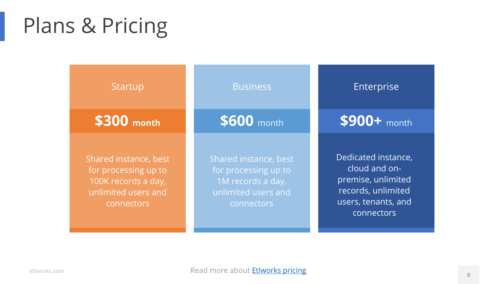## Plans & Pricing

| <b>Startup</b>                                                                                            | <b>Business</b>                                                                                         | Enterprise                                                                                                            |
|-----------------------------------------------------------------------------------------------------------|---------------------------------------------------------------------------------------------------------|-----------------------------------------------------------------------------------------------------------------------|
| \$300 month                                                                                               | \$600 month                                                                                             | $$900+$ month                                                                                                         |
| Shared instance, best<br>for processing up to<br>100K records a day,<br>unlimited users and<br>connectors | Shared instance, best<br>for processing up to<br>1M records a day,<br>unlimited users and<br>connectors | Dedicated instance,<br>cloud and on-<br>premise, unlimited<br>records, unlimited<br>users, tenants, and<br>connectors |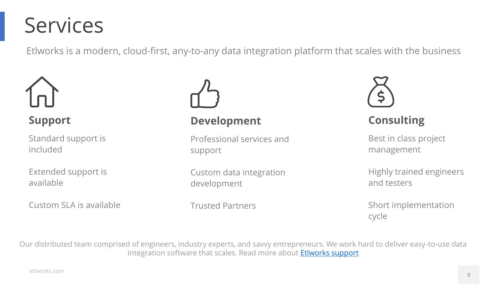### Services

Etlworks is a modern, cloud-first, any-to-any data integration platform that scales with the business



Standard support is included

Extended support is available

Custom SLA is available



### **Support Development**

Professional services and support

Custom data integration development

Trusted Partners



### **Consulting**

Best in class project management

Highly trained engineers and testers

Short implementation cycle

Our distributed team comprised of engineers, industry experts, and savvy entrepreneurs. We work hard to deliver easy-to-use data integration software that scales. Read more about **Etlworks support**